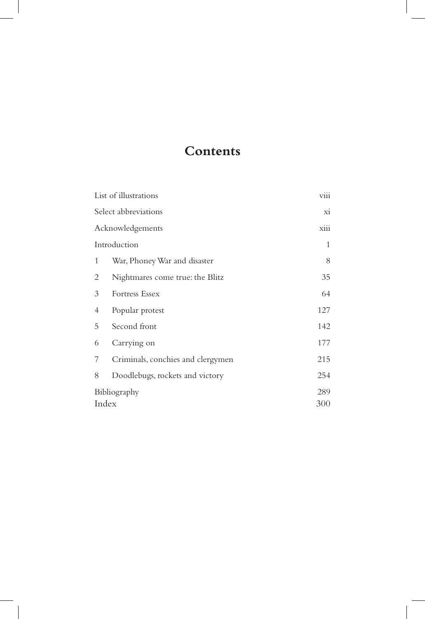## **Contents**

| List of illustrations |                                   | viii |
|-----------------------|-----------------------------------|------|
| Select abbreviations  |                                   | xi   |
| Acknowledgements      |                                   | xiii |
| Introduction          |                                   | 1    |
| 1                     | War, Phoney War and disaster      | 8    |
| 2                     | Nightmares come true: the Blitz   | 35   |
| 3                     | Fortress Essex                    | 64   |
| 4                     | Popular protest                   | 127  |
| 5                     | Second front                      | 142  |
| 6                     | Carrying on                       | 177  |
| 7                     | Criminals, conchies and clergymen | 215  |
| 8                     | Doodlebugs, rockets and victory   | 254  |
| Bibliography          |                                   | 289  |
| Index                 |                                   | 300  |

 $\overline{\phantom{a}}$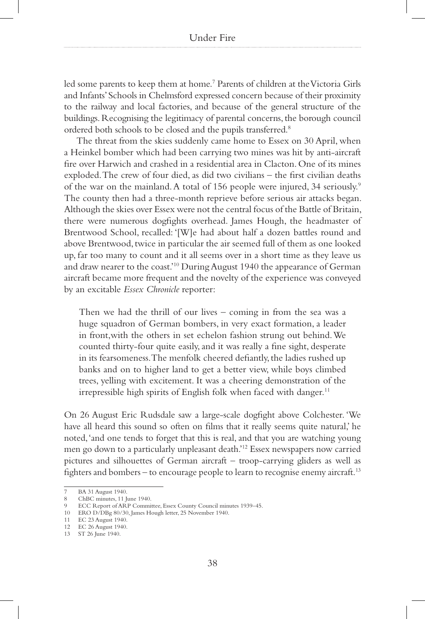led some parents to keep them at home.7 Parents of children at the Victoria Girls and Infants' Schools in Chelmsford expressed concern because of their proximity to the railway and local factories, and because of the general structure of the buildings. Recognising the legitimacy of parental concerns, the borough council ordered both schools to be closed and the pupils transferred.8

The threat from the skies suddenly came home to Essex on 30 April, when a Heinkel bomber which had been carrying two mines was hit by anti-aircraft fire over Harwich and crashed in a residential area in Clacton. One of its mines exploded. The crew of four died, as did two civilians – the first civilian deaths of the war on the mainland. A total of 156 people were injured, 34 seriously.9 The county then had a three-month reprieve before serious air attacks began. Although the skies over Essex were not the central focus of the Battle of Britain, there were numerous dogfights overhead. James Hough, the headmaster of Brentwood School, recalled: '[W]e had about half a dozen battles round and above Brentwood, twice in particular the air seemed full of them as one looked up, far too many to count and it all seems over in a short time as they leave us and draw nearer to the coast.'10 During August 1940 the appearance of German aircraft became more frequent and the novelty of the experience was conveyed by an excitable *Essex Chronicle* reporter:

Then we had the thrill of our lives – coming in from the sea was a huge squadron of German bombers, in very exact formation, a leader in front,with the others in set echelon fashion strung out behind. We counted thirty-four quite easily, and it was really a fine sight, desperate in its fearsomeness. The menfolk cheered defiantly, the ladies rushed up banks and on to higher land to get a better view, while boys climbed trees, yelling with excitement. It was a cheering demonstration of the irrepressible high spirits of English folk when faced with danger.<sup>11</sup>

On 26 August Eric Rudsdale saw a large-scale dogfight above Colchester. 'We have all heard this sound so often on films that it really seems quite natural,' he noted, 'and one tends to forget that this is real, and that you are watching young men go down to a particularly unpleasant death.'12 Essex newspapers now carried pictures and silhouettes of German aircraft – troop-carrying gliders as well as fighters and bombers – to encourage people to learn to recognise enemy aircraft.<sup>13</sup>

BA 31 August 1940.

<sup>8</sup> ChBC minutes, 11 June 1940.

ECC Report of ARP Committee, Essex County Council minutes 1939–45.

<sup>10</sup> ERO D/DBg 80/30, James Hough letter, 25 November 1940.

<sup>11</sup> EC 23 August 1940.

<sup>12</sup> EC 26 August 1940.

<sup>13</sup> ST 26 June 1940.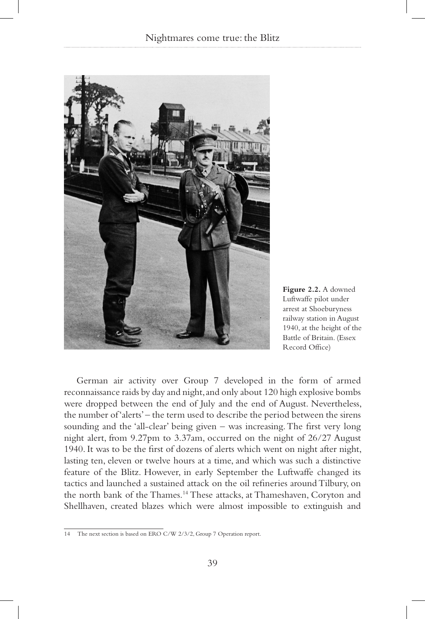

**Figure 2.2.** A downed Luftwaffe pilot under arrest at Shoeburyness railway station in August 1940, at the height of the Battle of Britain. (Essex Record Office)

German air activity over Group 7 developed in the form of armed reconnaissance raids by day and night, and only about 120 high explosive bombs were dropped between the end of July and the end of August. Nevertheless, the number of 'alerts' – the term used to describe the period between the sirens sounding and the 'all-clear' being given – was increasing. The first very long night alert, from 9.27pm to 3.37am, occurred on the night of 26/27 August 1940. It was to be the first of dozens of alerts which went on night after night, lasting ten, eleven or twelve hours at a time, and which was such a distinctive feature of the Blitz. However, in early September the Luftwaffe changed its tactics and launched a sustained attack on the oil refineries around Tilbury, on the north bank of the Thames.14 These attacks, at Thameshaven, Coryton and Shellhaven, created blazes which were almost impossible to extinguish and

<sup>14</sup> The next section is based on ERO C/W 2/3/2, Group 7 Operation report.